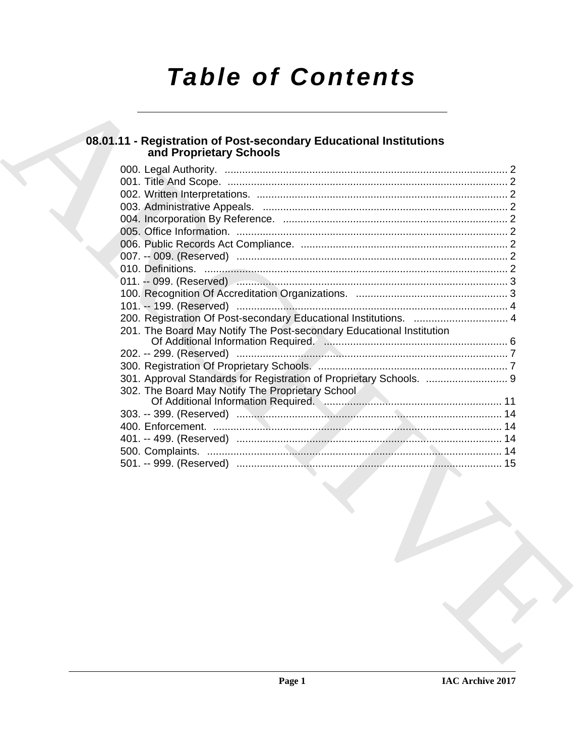# **Table of Contents**

## 08.01.11 - Registration of Post-secondary Educational Institutions<br>and Proprietary Schools

| 201. The Board May Notify The Post-secondary Educational Institution                  |  |
|---------------------------------------------------------------------------------------|--|
|                                                                                       |  |
|                                                                                       |  |
|                                                                                       |  |
|                                                                                       |  |
| 302. The Board May Notify The Proprietary School                                      |  |
| Of Additional Information Required. Manuscritter and Additional Information Required. |  |
|                                                                                       |  |
|                                                                                       |  |
|                                                                                       |  |
|                                                                                       |  |
|                                                                                       |  |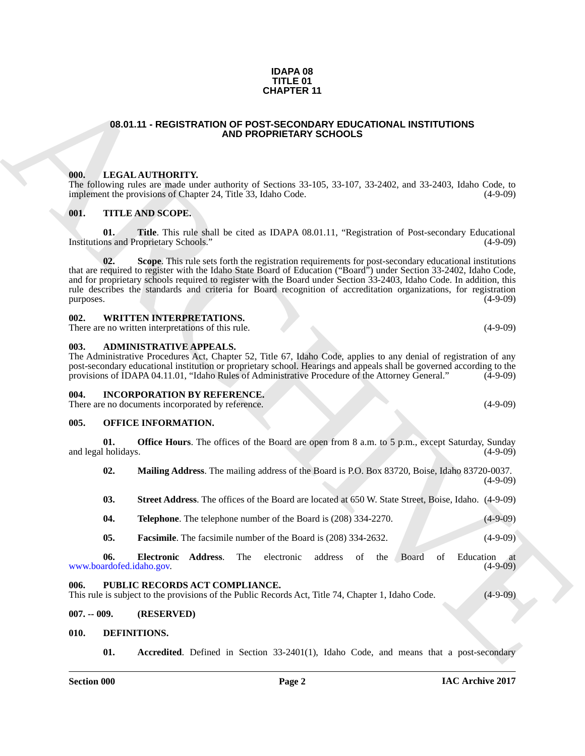#### **IDAPA 08 TITLE 01 CHAPTER 11**

#### <span id="page-1-0"></span>**08.01.11 - REGISTRATION OF POST-SECONDARY EDUCATIONAL INSTITUTIONS AND PROPRIETARY SCHOOLS**

#### <span id="page-1-1"></span>**000. LEGAL AUTHORITY.**

The following rules are made under authority of Sections 33-105, 33-107, 33-2402, and 33-2403, Idaho Code, to implement the provisions of Chapter 24, Title 33, Idaho Code. (4-9-09) implement the provisions of Chapter 24, Title 33, Idaho Code.

#### <span id="page-1-2"></span>**001. TITLE AND SCOPE.**

**01. Title**. This rule shall be cited as IDAPA 08.01.11, "Registration of Post-secondary Educational pns and Proprietary Schools." (4-9-09) Institutions and Proprietary Schools."

**GHAPTER 11**<br> **GENERATION OF PERSON AND PROFESSION SCHOOLS**<br> **CONTRATION AND PROPERTIES SCHOOLS**<br> **CONTRATION AND PROPERTIES SCHOOLS**<br> **CONTRATION AND PROPERTIES SCHOOLS**<br> **CONTRATION CONTRATION AND PROPERTIES** SCHOOLS FO **Scope**. This rule sets forth the registration requirements for post-secondary educational institutions that are required to register with the Idaho State Board of Education ("Board") under Section 33-2402, Idaho Code, and for proprietary schools required to register with the Board under Section 33-2403, Idaho Code. In addition, this rule describes the standards and criteria for Board recognition of accreditation organizations, for registration purposes. (4-9-09)

#### <span id="page-1-3"></span>**002. WRITTEN INTERPRETATIONS.**

There are no written interpretations of this rule. (4-9-09) (4-9-09)

#### <span id="page-1-4"></span>**003. ADMINISTRATIVE APPEALS.**

The Administrative Procedures Act, Chapter 52, Title 67, Idaho Code, applies to any denial of registration of any post-secondary educational institution or proprietary school. Hearings and appeals shall be governed according to the provisions of IDAPA 04.11.01, "Idaho Rules of Administrative Procedure of the Attorney General." (4-9-09)

#### <span id="page-1-5"></span>**004. INCORPORATION BY REFERENCE.**

There are no documents incorporated by reference. (4-9-09)

#### <span id="page-1-6"></span>**005. OFFICE INFORMATION.**

**01. Office Hours**. The offices of the Board are open from 8 a.m. to 5 p.m., except Saturday, Sunday (4-9-09) and legal holidays.

**02. Mailing Address**. The mailing address of the Board is P.O. Box 83720, Boise, Idaho 83720-0037. (4-9-09)

**03. Street Address**. The offices of the Board are located at 650 W. State Street, Boise, Idaho. (4-9-09)

- **04. Telephone**. The telephone number of the Board is (208) 334-2270. (4-9-09)
- **05. Facsimile**. The facsimile number of the Board is (208) 334-2632. (4-9-09)

**06. Electronic Address**. The electronic address of the Board of Education at www.boardofed.idaho.gov.

#### <span id="page-1-7"></span>**006. PUBLIC RECORDS ACT COMPLIANCE.**

This rule is subject to the provisions of the Public Records Act, Title 74, Chapter 1, Idaho Code. (4-9-09)

### <span id="page-1-8"></span>**007. -- 009. (RESERVED)**

#### <span id="page-1-9"></span>**010. DEFINITIONS.**

<span id="page-1-11"></span><span id="page-1-10"></span>**01.** Accredited. Defined in Section 33-2401(1), Idaho Code, and means that a post-secondary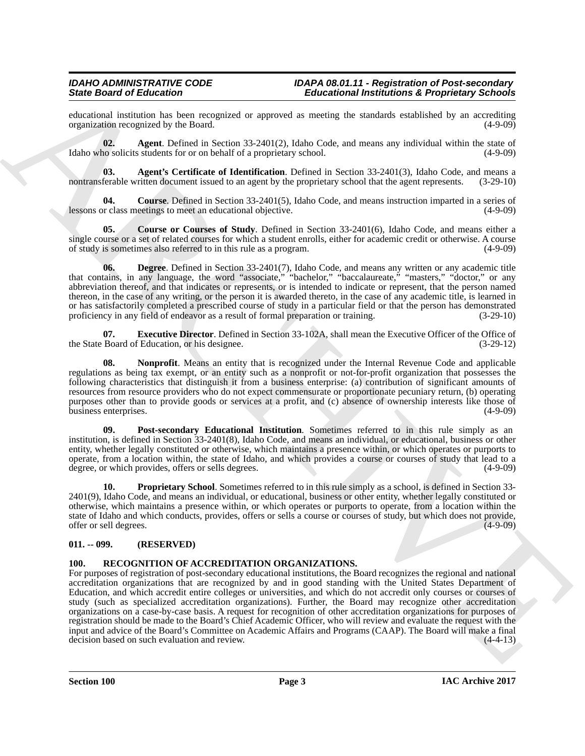educational institution has been recognized or approved as meeting the standards established by an accrediting organization recognized by the Board.

<span id="page-2-2"></span>**02. Agent**. Defined in Section 33-2401(2), Idaho Code, and means any individual within the state of Idaho who solicits students for or on behalf of a proprietary school. (4-9-09)

<span id="page-2-3"></span>**03. Agent's Certificate of Identification**. Defined in Section 33-2401(3), Idaho Code, and means a nontransferable written document issued to an agent by the proprietary school that the agent represents. (3-29-10)

<span id="page-2-4"></span>**04.** Course. Defined in Section 33-2401(5), Idaho Code, and means instruction imparted in a series of r class meetings to meet an educational objective. (4-9-09) lessons or class meetings to meet an educational objective.

<span id="page-2-5"></span>**05. Course or Courses of Study**. Defined in Section 33-2401(6), Idaho Code, and means either a single course or a set of related courses for which a student enrolls, either for academic credit or otherwise. A course of study is sometimes also referred to in this rule as a program. (4-9-09)

<span id="page-2-6"></span>**06. Degree**. Defined in Section 33-2401(7), Idaho Code, and means any written or any academic title that contains, in any language, the word "associate," "bachelor," "baccalaureate," "masters," "doctor," or any abbreviation thereof, and that indicates or represents, or is intended to indicate or represent, that the person named thereon, in the case of any writing, or the person it is awarded thereto, in the case of any academic title, is learned in or has satisfactorily completed a prescribed course of study in a particular field or that the person has demonstrated proficiency in any field of endeavor as a result of formal preparation or training. (3-29-10) proficiency in any field of endeavor as a result of formal preparation or training.

<span id="page-2-7"></span>**07. Executive Director**. Defined in Section 33-102A, shall mean the Executive Officer of the Office of the State Board of Education, or his designee. (3-29-12)

<span id="page-2-8"></span>**08. Nonprofit**. Means an entity that is recognized under the Internal Revenue Code and applicable regulations as being tax exempt, or an entity such as a nonprofit or not-for-profit organization that possesses the following characteristics that distinguish it from a business enterprise: (a) contribution of significant amounts of resources from resource providers who do not expect commensurate or proportionate pecuniary return, (b) operating purposes other than to provide goods or services at a profit, and (c) absence of ownership interests like those of business enterprises. (4-9-09)

<span id="page-2-9"></span>**09. Post-secondary Educational Institution**. Sometimes referred to in this rule simply as an institution, is defined in Section 33-2401(8), Idaho Code, and means an individual, or educational, business or other entity, whether legally constituted or otherwise, which maintains a presence within, or which operates or purports to operate, from a location within, the state of Idaho, and which provides a course or courses of study that lead to a degree, or which provides, offers or sells degrees. (4-9-09)

<span id="page-2-10"></span>**10. Proprietary School**. Sometimes referred to in this rule simply as a school, is defined in Section 33- 2401(9), Idaho Code, and means an individual, or educational, business or other entity, whether legally constituted or otherwise, which maintains a presence within, or which operates or purports to operate, from a location within the state of Idaho and which conducts, provides, offers or sells a course or courses of study, but which does not provide, offer or sell degrees.

### <span id="page-2-0"></span>**011. -- 099. (RESERVED)**

### <span id="page-2-11"></span><span id="page-2-1"></span>**100. RECOGNITION OF ACCREDITATION ORGANIZATIONS.**

Since Growth of Education (and Education and Theodorical Proposition School of the systems of the systems of the system of the system of the system of the system of the system of the system of the system of the system of For purposes of registration of post-secondary educational institutions, the Board recognizes the regional and national accreditation organizations that are recognized by and in good standing with the United States Department of Education, and which accredit entire colleges or universities, and which do not accredit only courses or courses of study (such as specialized accreditation organizations). Further, the Board may recognize other accreditation organizations on a case-by-case basis. A request for recognition of other accreditation organizations for purposes of registration should be made to the Board's Chief Academic Officer, who will review and evaluate the request with the input and advice of the Board's Committee on Academic Affairs and Programs (CAAP). The Board will make a final decision based on such evaluation and review.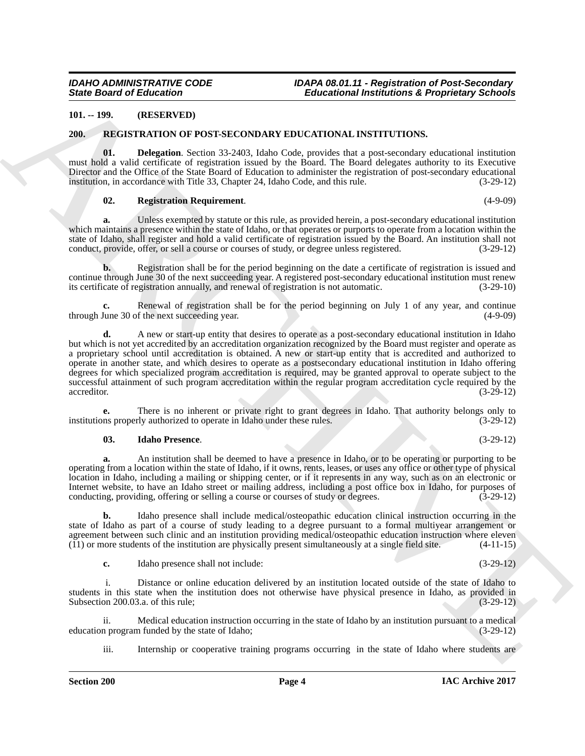#### <span id="page-3-0"></span>**101. -- 199. (RESERVED)**

#### <span id="page-3-2"></span><span id="page-3-1"></span>**200. REGISTRATION OF POST-SECONDARY EDUCATIONAL INSTITUTIONS.**

**01. Delegation**. Section 33-2403, Idaho Code, provides that a post-secondary educational institution must hold a valid certificate of registration issued by the Board. The Board delegates authority to its Executive Director and the Office of the State Board of Education to administer the registration of post-secondary educational institution, in accordance with Title 33, Chapter 24, Idaho Code, and this rule. (3-29-12)

#### <span id="page-3-5"></span><span id="page-3-3"></span>**02. Registration Requirement**. (4-9-09)

**a.** Unless exempted by statute or this rule, as provided herein, a post-secondary educational institution which maintains a presence within the state of Idaho, or that operates or purports to operate from a location within the state of Idaho, shall register and hold a valid certificate of registration issued by the Board. An institution shall not conduct, provide, offer, or sell a course or courses of study, or degree unless registered. (3-29-12)

**b.** Registration shall be for the period beginning on the date a certificate of registration is issued and continue through June 30 of the next succeeding year. A registered post-secondary educational institution must renew its certificate of registration annually, and renewal of registration is not automatic. (3-29-10)

Renewal of registration shall be for the period beginning on July 1 of any year, and continue f the next succeeding year. (4-9-09) through June 30 of the next succeeding year.

Since Board of Education  $\sim$  1981. The Matter of Educational Interdefects of Proprieties Schools<br>
2011. The Matter of the Matter of the Matter of the Matter of the Matter of the Matter of the Matter of the Matter of the **d.** A new or start-up entity that desires to operate as a post-secondary educational institution in Idaho but which is not yet accredited by an accreditation organization recognized by the Board must register and operate as a proprietary school until accreditation is obtained. A new or start-up entity that is accredited and authorized to operate in another state, and which desires to operate as a postsecondary educational institution in Idaho offering degrees for which specialized program accreditation is required, may be granted approval to operate subject to the successful attainment of such program accreditation within the regular program accreditation cycle required by the accreditor. (3-29-12) accreditor. (3-29-12)

**e.** There is no inherent or private right to grant degrees in Idaho. That authority belongs only to ms properly authorized to operate in Idaho under these rules. (3-29-12) institutions properly authorized to operate in Idaho under these rules.

#### <span id="page-3-4"></span>**03. Idaho Presence**. (3-29-12)

**a.** An institution shall be deemed to have a presence in Idaho, or to be operating or purporting to be operating from a location within the state of Idaho, if it owns, rents, leases, or uses any office or other type of physical location in Idaho, including a mailing or shipping center, or if it represents in any way, such as on an electronic or Internet website, to have an Idaho street or mailing address, including a post office box in Idaho, for purposes of conducting, providing, offering or selling a course or courses of study or degrees. (3-29-12)

**b.** Idaho presence shall include medical/osteopathic education clinical instruction occurring in the state of Idaho as part of a course of study leading to a degree pursuant to a formal multiyear arrangement or agreement between such clinic and an institution providing medical/osteopathic education instruction where eleven (11) or more students of the institution are physically present simultaneously at a single field site. (4-11  $(11)$  or more students of the institution are physically present simultaneously at a single field site.

**c.** Idaho presence shall not include: (3-29-12)

Distance or online education delivered by an institution located outside of the state of Idaho to students in this state when the institution does not otherwise have physical presence in Idaho, as provided in Subsection 200.03.a. of this rule; (3-29-12)

ii. Medical education instruction occurring in the state of Idaho by an institution pursuant to a medical education program funded by the state of Idaho;

iii. Internship or cooperative training programs occurring in the state of Idaho where students are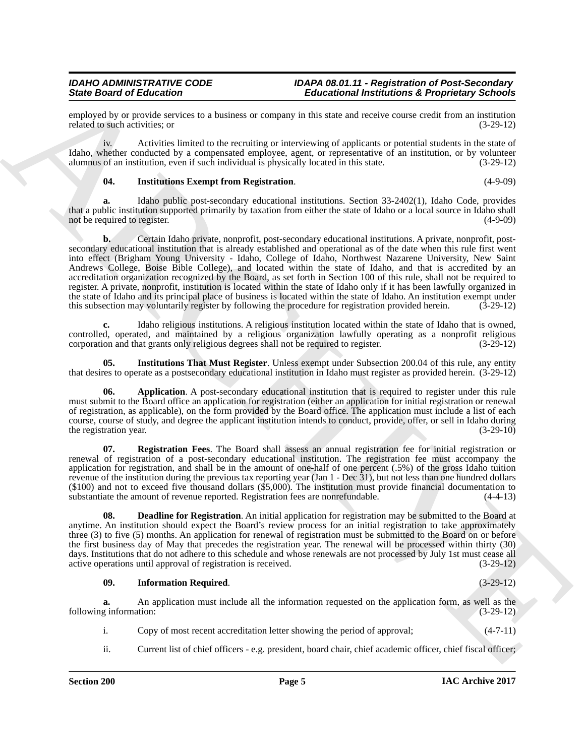employed by or provide services to a business or company in this state and receive course credit from an institution related to such activities; or  $(3-29-12)$ related to such activities; or

iv. Activities limited to the recruiting or interviewing of applicants or potential students in the state of Idaho, whether conducted by a compensated employee, agent, or representative of an institution, or by volunteer alumnus of an institution, even if such individual is physically located in this state. (3-29-12)

#### <span id="page-4-3"></span>**04. Institutions Exempt from Registration**. (4-9-09)

**a.** Idaho public post-secondary educational institutions. Section 33-2402(1), Idaho Code, provides that a public institution supported primarily by taxation from either the state of Idaho or a local source in Idaho shall not be required to register.

Since Gradient de Enforcessor Controller and the since the same of the since the same of the same of the same of the same of the same of the same of the same of the same of the same of the same of the same of the same of **b.** Certain Idaho private, nonprofit, post-secondary educational institutions. A private, nonprofit, postsecondary educational institution that is already established and operational as of the date when this rule first went into effect (Brigham Young University - Idaho, College of Idaho, Northwest Nazarene University, New Saint Andrews College, Boise Bible College), and located within the state of Idaho, and that is accredited by an accreditation organization recognized by the Board, as set forth in Section 100 of this rule, shall not be required to register. A private, nonprofit, institution is located within the state of Idaho only if it has been lawfully organized in the state of Idaho and its principal place of business is located within the state of Idaho. An institution exempt under this subsection may voluntarily register by following the procedure for registration provided herein. (3-29-12)

**c.** Idaho religious institutions. A religious institution located within the state of Idaho that is owned, controlled, operated, and maintained by a religious organization lawfully operating as a nonprofit religious corporation and that grants only religious degrees shall not be required to register. (3-29-12)

<span id="page-4-4"></span>**05. Institutions That Must Register**. Unless exempt under Subsection 200.04 of this rule, any entity that desires to operate as a postsecondary educational institution in Idaho must register as provided herein. (3-29-12)

<span id="page-4-0"></span>**06. Application**. A post-secondary educational institution that is required to register under this rule must submit to the Board office an application for registration (either an application for initial registration or renewal of registration, as applicable), on the form provided by the Board office. The application must include a list of each course, course of study, and degree the applicant institution intends to conduct, provide, offer, or sell in Idaho during the registration year. (3-29-10) (3-29-10)

<span id="page-4-5"></span>**07. Registration Fees**. The Board shall assess an annual registration fee for initial registration or renewal of registration of a post-secondary educational institution. The registration fee must accompany the application for registration, and shall be in the amount of one-half of one percent (.5%) of the gross Idaho tuition revenue of the institution during the previous tax reporting year (Jan 1 - Dec 31), but not less than one hundred dollars (\$100) and not to exceed five thousand dollars (\$5,000). The institution must provide financial documentation to substantiate the amount of revenue reported. Registration fees are nonrefundable.  $(4-4-13)$ 

<span id="page-4-1"></span>**08. Deadline for Registration**. An initial application for registration may be submitted to the Board at anytime. An institution should expect the Board's review process for an initial registration to take approximately three (3) to five (5) months. An application for renewal of registration must be submitted to the Board on or before the first business day of May that precedes the registration year. The renewal will be processed within thirty (30) days. Institutions that do not adhere to this schedule and whose renewals are not processed by July 1st must cease all active operations until approval of registration is received. (3-29-12)

#### <span id="page-4-2"></span>**09. Information Required**. (3-29-12)

**a.** An application must include all the information requested on the application form, as well as the g information: (3-29-12) following information:

- i. Copy of most recent accreditation letter showing the period of approval; (4-7-11)
- ii. Current list of chief officers e.g. president, board chair, chief academic officer, chief fiscal officer;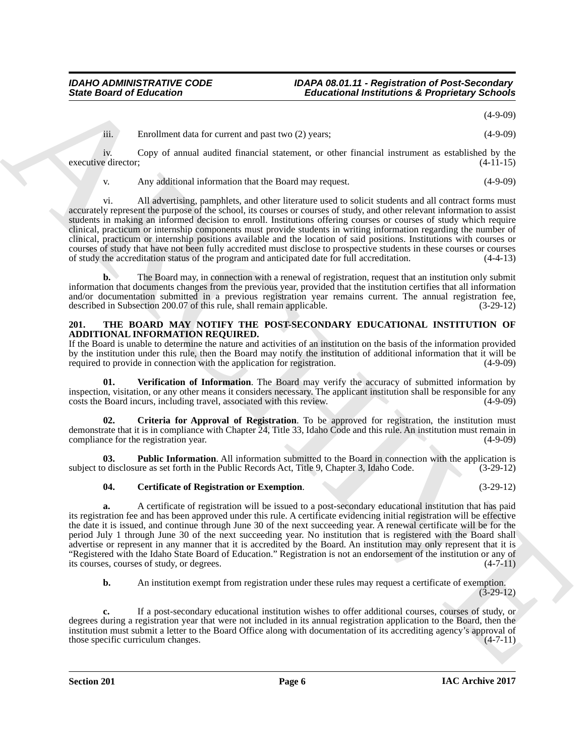(4-9-09)

iii. Enrollment data for current and past two (2) years; (4-9-09)

iv. Copy of annual audited financial statement, or other financial instrument as established by the executive director; (4-11-15)

v. Any additional information that the Board may request. (4-9-09)

Since Board of Entreprises  $\frac{1}{2}$  Figure 2.1 The LOAD of the state is the state of the state of the state of the state of the state of the state of the state of the state of the state of the state of the state of the s vi. All advertising, pamphlets, and other literature used to solicit students and all contract forms must accurately represent the purpose of the school, its courses or courses of study, and other relevant information to assist students in making an informed decision to enroll. Institutions offering courses or courses of study which require clinical, practicum or internship components must provide students in writing information regarding the number of clinical, practicum or internship positions available and the location of said positions. Institutions with courses or courses of study that have not been fully accredited must disclose to prospective students in these courses or courses of study the accreditation status of the program and anticipated date for full accreditation. (4-4-13)

**b.** The Board may, in connection with a renewal of registration, request that an institution only submit information that documents changes from the previous year, provided that the institution certifies that all information and/or documentation submitted in a previous registration year remains current. The annual registration fee, described in Subsection 200.07 of this rule, shall remain applicable. (3-29-12)

### <span id="page-5-1"></span><span id="page-5-0"></span>**201. THE BOARD MAY NOTIFY THE POST-SECONDARY EDUCATIONAL INSTITUTION OF ADDITIONAL INFORMATION REQUIRED.**

If the Board is unable to determine the nature and activities of an institution on the basis of the information provided by the institution under this rule, then the Board may notify the institution of additional information that it will be required to provide in connection with the application for registration. (4-9-09) required to provide in connection with the application for registration.

<span id="page-5-5"></span>**01. Verification of Information**. The Board may verify the accuracy of submitted information by inspection, visitation, or any other means it considers necessary. The applicant institution shall be responsible for any costs the Board incurs, including travel, associated with this review.

<span id="page-5-3"></span>**02. Criteria for Approval of Registration**. To be approved for registration, the institution must demonstrate that it is in compliance with Chapter 24, Title 33, Idaho Code and this rule. An institution must remain in compliance for the registration year. (4-9-09)

**Public Information**. All information submitted to the Board in connection with the application is ure as set forth in the Public Records Act, Title 9, Chapter 3, Idaho Code. (3-29-12) subject to disclosure as set forth in the Public Records Act, Title 9, Chapter 3, Idaho Code.

### <span id="page-5-4"></span><span id="page-5-2"></span>**04. Certificate of Registration or Exemption**. (3-29-12)

**a.** A certificate of registration will be issued to a post-secondary educational institution that has paid its registration fee and has been approved under this rule. A certificate evidencing initial registration will be effective the date it is issued, and continue through June 30 of the next succeeding year. A renewal certificate will be for the period July 1 through June 30 of the next succeeding year. No institution that is registered with the Board shall advertise or represent in any manner that it is accredited by the Board. An institution may only represent that it is "Registered with the Idaho State Board of Education." Registration is not an endorsement of the institution or any of its courses, courses of study, or degrees. (4-7-11)

**b.** An institution exempt from registration under these rules may request a certificate of exemption. (3-29-12)

**c.** If a post-secondary educational institution wishes to offer additional courses, courses of study, or degrees during a registration year that were not included in its annual registration application to the Board, then the institution must submit a letter to the Board Office along with documentation of its accrediting agency's approval of those specific curriculum changes. (4-7-11)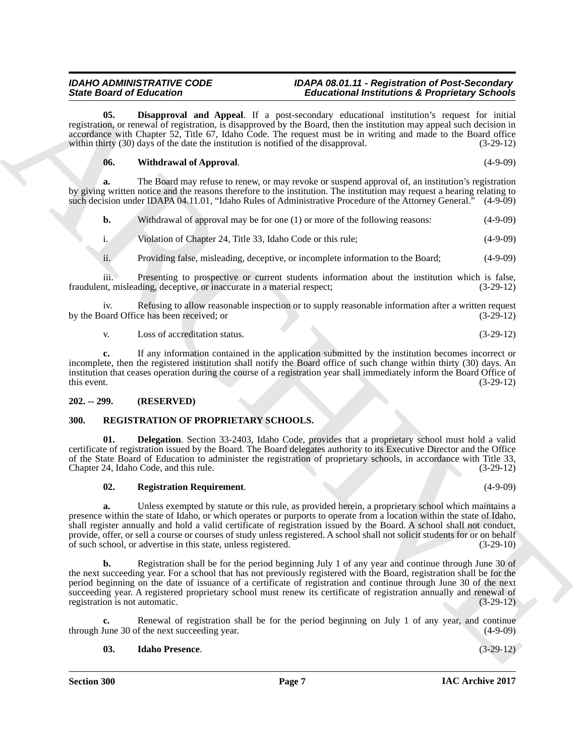**05. Disapproval and Appeal**. If a post-secondary educational institution's request for initial registration, or renewal of registration, is disapproved by the Board, then the institution may appeal such decision in accordance with Chapter 52, Title 67, Idaho Code. The request must be in writing and made to the Board office within thirty (30) days of the date the institution is notified of the disapproval. (3-29-12)

#### <span id="page-6-7"></span><span id="page-6-6"></span>**06. Withdrawal of Approval**. (4-9-09)

**a.** The Board may refuse to renew, or may revoke or suspend approval of, an institution's registration by giving written notice and the reasons therefore to the institution. The institution may request a hearing relating to such decision under IDAPA 04.11.01, "Idaho Rules of Administrative Procedure of the Attorney General." (4-9-09)

| b. | Withdrawal of approval may be for one (1) or more of the following reasons: | $(4-9-09)$ |
|----|-----------------------------------------------------------------------------|------------|
| 1. | Violation of Chapter 24, Title 33, Idaho Code or this rule;                 | $(4-9-09)$ |

ii. Providing false, misleading, deceptive, or incomplete information to the Board; (4-9-09)

iii. Presenting to prospective or current students information about the institution which is false, fraudulent, misleading, deceptive, or inaccurate in a material respect; (3-29-12)

iv. Refusing to allow reasonable inspection or to supply reasonable information after a written request oard Office has been received; or by the Board Office has been received; or

v. Loss of accreditation status. (3-29-12)

**c.** If any information contained in the application submitted by the institution becomes incorrect or incomplete, then the registered institution shall notify the Board office of such change within thirty (30) days. An institution that ceases operation during the course of a registration year shall immediately inform the Board Office of this event.  $(3-29-12)$ 

### <span id="page-6-0"></span>**202. -- 299. (RESERVED)**

### <span id="page-6-2"></span><span id="page-6-1"></span>**300. REGISTRATION OF PROPRIETARY SCHOOLS.**

**01. Delegation**. Section 33-2403, Idaho Code, provides that a proprietary school must hold a valid certificate of registration issued by the Board. The Board delegates authority to its Executive Director and the Office of the State Board of Education to administer the registration of proprietary schools, in accordance with Title 33, Chapter 24, Idaho Code, and this rule. (3-29-12)

#### <span id="page-6-5"></span><span id="page-6-3"></span>**02. Registration Requirement**. (4-9-09)

**a.** Unless exempted by statute or this rule, as provided herein, a proprietary school which maintains a presence within the state of Idaho, or which operates or purports to operate from a location within the state of Idaho, shall register annually and hold a valid certificate of registration issued by the Board. A school shall not conduct, provide, offer, or sell a course or courses of study unless registered. A school shall not solicit students for or on behalf of such school, or advertise in this state, unless registered. (3-29-10) of such school, or advertise in this state, unless registered.

Since Gravity and Appeal, it, a procession of the<br>intermediation of Euckletin Controlling (Appeal, it, a processionly controlling intermediation of the<br>intermediation of the state of the state of the state of the state of **b.** Registration shall be for the period beginning July 1 of any year and continue through June 30 of the next succeeding year. For a school that has not previously registered with the Board, registration shall be for the period beginning on the date of issuance of a certificate of registration and continue through June 30 of the next succeeding year. A registered proprietary school must renew its certificate of registration annually and renewal of registration is not automatic. (3-29-12)

Renewal of registration shall be for the period beginning on July 1 of any year, and continue f the next succeeding year.  $(4-9-09)$ through June 30 of the next succeeding year.

#### <span id="page-6-4"></span>**03. Idaho Presence**. (3-29-12)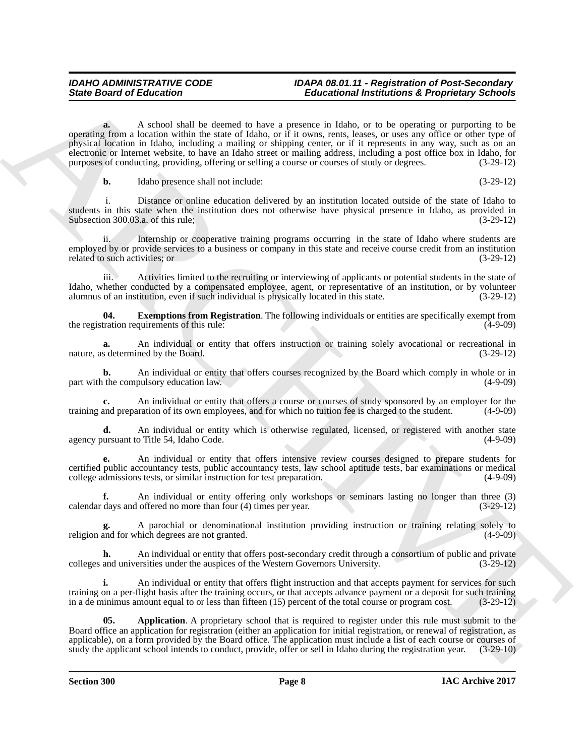Since Board of Eclassication Control in the Control interaction of the symptoms is proposition of the control interaction of the control interaction of the control interaction of the control interaction of the control int **a.** A school shall be deemed to have a presence in Idaho, or to be operating or purporting to be operating from a location within the state of Idaho, or if it owns, rents, leases, or uses any office or other type of physical location in Idaho, including a mailing or shipping center, or if it represents in any way, such as on an electronic or Internet website, to have an Idaho street or mailing address, including a post office box in Idaho, for purposes of conducting, providing, offering or selling a course or courses of study or degrees. (3-29-12)

**b.** Idaho presence shall not include: (3-29-12)

Distance or online education delivered by an institution located outside of the state of Idaho to students in this state when the institution does not otherwise have physical presence in Idaho, as provided in Subsection 300.03.a. of this rule; (3-29-12)

Internship or cooperative training programs occurring in the state of Idaho where students are employed by or provide services to a business or company in this state and receive course credit from an institution related to such activities; or  $(3-29-12)$ 

iii. Activities limited to the recruiting or interviewing of applicants or potential students in the state of Idaho, whether conducted by a compensated employee, agent, or representative of an institution, or by volunteer alumnus of an institution, even if such individual is physically located in this state. (3-29-12)

<span id="page-7-1"></span>**04. Exemptions from Registration**. The following individuals or entities are specifically exempt from tration requirements of this rule: (4-9-09) the registration requirements of this rule:

**a.** An individual or entity that offers instruction or training solely avocational or recreational in s determined by the Board. (3-29-12) nature, as determined by the Board.

**b.** An individual or entity that offers courses recognized by the Board which comply in whole or in the compulsory education law. (4-9-09) part with the compulsory education law.

**c.** An individual or entity that offers a course or courses of study sponsored by an employer for the and preparation of its own employees, and for which no tuition fee is charged to the student. (4-9-09) training and preparation of its own employees, and for which no tuition fee is charged to the student.

**d.** An individual or entity which is otherwise regulated, licensed, or registered with another state ursuant to Title 54, Idaho Code. (4-9-09) agency pursuant to Title 54, Idaho Code.

**e.** An individual or entity that offers intensive review courses designed to prepare students for certified public accountancy tests, public accountancy tests, law school aptitude tests, bar examinations or medical college admissions tests, or similar instruction for test preparation. (4-9-09)

**f.** An individual or entity offering only workshops or seminars lasting no longer than three (3) calendar days and offered no more than four  $(4)$  times per year.

A parochial or denominational institution providing instruction or training relating solely to hich degrees are not granted. (4-9-09) religion and for which degrees are not granted.

**h.** An individual or entity that offers post-secondary credit through a consortium of public and private colleges and universities under the auspices of the Western Governors University. (3-29-12)

**i.** An individual or entity that offers flight instruction and that accepts payment for services for such training on a per-flight basis after the training occurs, or that accepts advance payment or a deposit for such training in a de minimus amount equal to or less than fifteen (15) percent of the total course or program cost. (3-29-12)

<span id="page-7-0"></span>**05. Application**. A proprietary school that is required to register under this rule must submit to the Board office an application for registration (either an application for initial registration, or renewal of registration, as applicable), on a form provided by the Board office. The application must include a list of each course or courses of study the applicant school intends to conduct, provide, offer or sell in Idaho during the registration y study the applicant school intends to conduct, provide, offer or sell in Idaho during the registration year.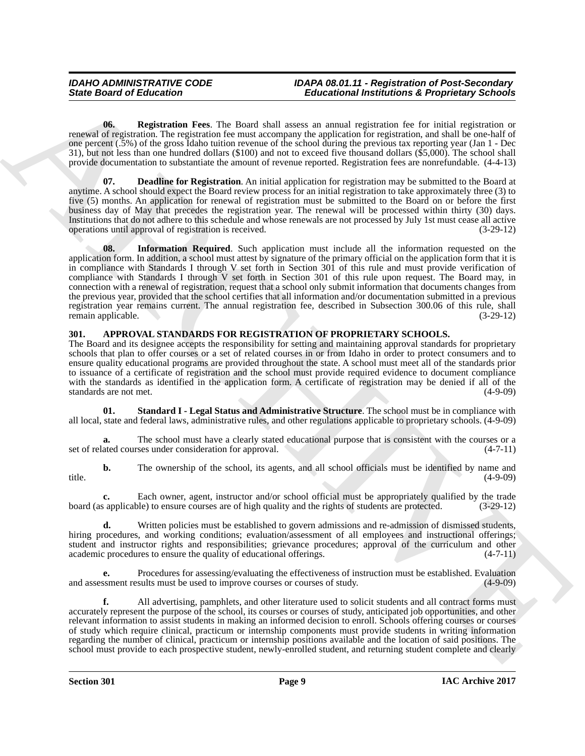<span id="page-8-5"></span>**06. Registration Fees**. The Board shall assess an annual registration fee for initial registration or renewal of registration. The registration fee must accompany the application for registration, and shall be one-half of one percent (.5%) of the gross Idaho tuition revenue of the school during the previous tax reporting year (Jan 1 - Dec 31), but not less than one hundred dollars (\$100) and not to exceed five thousand dollars (\$5,000). The school shall provide documentation to substantiate the amount of revenue reported. Registration fees are nonrefundable. (4-4-13)

<span id="page-8-4"></span><span id="page-8-3"></span>**07. Deadline for Registration**. An initial application for registration may be submitted to the Board at anytime. A school should expect the Board review process for an initial registration to take approximately three (3) to five (5) months. An application for renewal of registration must be submitted to the Board on or before the first business day of May that precedes the registration year. The renewal will be processed within thirty (30) days. Institutions that do not adhere to this schedule and whose renewals are not processed by July 1st must cease all active operations until approval of registration is received.

Since Board of Entertainm on The Dault and Janeary Generations is required any process of the since the since of the since of the since of the since of the since of the since of the since of the since of the since of the **08. Information Required**. Such application must include all the information requested on the application form. In addition, a school must attest by signature of the primary official on the application form that it is in compliance with Standards I through V set forth in Section 301 of this rule and must provide verification of compliance with Standards I through V set forth in Section 301 of this rule upon request. The Board may, in connection with a renewal of registration, request that a school only submit information that documents changes from the previous year, provided that the school certifies that all information and/or documentation submitted in a previous registration year remains current. The annual registration fee, described in Subsection 300.06 of this rule, shall<br>(3-29-12) remain applicable.

### <span id="page-8-1"></span><span id="page-8-0"></span>**301. APPROVAL STANDARDS FOR REGISTRATION OF PROPRIETARY SCHOOLS.**

The Board and its designee accepts the responsibility for setting and maintaining approval standards for proprietary schools that plan to offer courses or a set of related courses in or from Idaho in order to protect consumers and to ensure quality educational programs are provided throughout the state. A school must meet all of the standards prior to issuance of a certificate of registration and the school must provide required evidence to document compliance with the standards as identified in the application form. A certificate of registration may be denied if all of the standards are not met. (4-9-09)

<span id="page-8-2"></span>**01. Standard I - Legal Status and Administrative Structure**. The school must be in compliance with all local, state and federal laws, administrative rules, and other regulations applicable to proprietary schools. (4-9-09)

**a.** The school must have a clearly stated educational purpose that is consistent with the courses or a ated courses under consideration for approval.  $(4-7-11)$ set of related courses under consideration for approval.

**b.** The ownership of the school, its agents, and all school officials must be identified by name and (4-9-09) title. (4-9-09)

**c.** Each owner, agent, instructor and/or school official must be appropriately qualified by the trade board (as applicable) to ensure courses are of high quality and the rights of students are protected. (3-29-12)

**d.** Written policies must be established to govern admissions and re-admission of dismissed students, hiring procedures, and working conditions; evaluation/assessment of all employees and instructional offerings; student and instructor rights and responsibilities; grievance procedures; approval of the curriculum and other academic procedures to ensure the quality of educational offerings. (4-7-11)

**e.** Procedures for assessing/evaluating the effectiveness of instruction must be established. Evaluation ssment results must be used to improve courses or courses of study. (4-9-09) and assessment results must be used to improve courses or courses of study.

**f.** All advertising, pamphlets, and other literature used to solicit students and all contract forms must accurately represent the purpose of the school, its courses or courses of study, anticipated job opportunities, and other relevant information to assist students in making an informed decision to enroll. Schools offering courses or courses of study which require clinical, practicum or internship components must provide students in writing information regarding the number of clinical, practicum or internship positions available and the location of said positions. The school must provide to each prospective student, newly-enrolled student, and returning student complete and clearly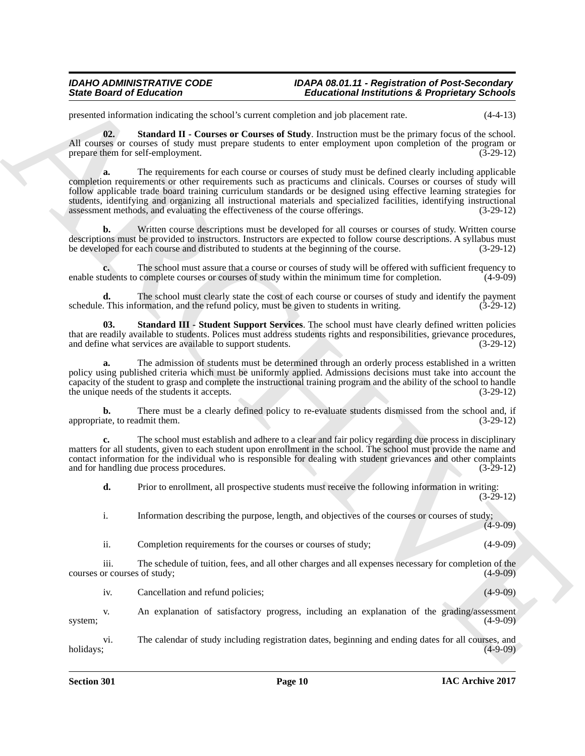presented information indicating the school's current completion and job placement rate. (4-4-13)

<span id="page-9-0"></span>**02. Standard II - Courses or Courses of Study**. Instruction must be the primary focus of the school. All courses or courses of study must prepare students to enter employment upon completion of the program or prepare them for self-employment. (3-29-12)

ARCHIVE **a.** The requirements for each course or courses of study must be defined clearly including applicable completion requirements or other requirements such as practicums and clinicals. Courses or courses of study will follow applicable trade board training curriculum standards or be designed using effective learning strategies for students, identifying and organizing all instructional materials and specialized facilities, identifying instructional assessment methods, and evaluating the effectiveness of the course offerings. (3-29-12)

**b.** Written course descriptions must be developed for all courses or courses of study. Written course descriptions must be provided to instructors. Instructors are expected to follow course descriptions. A syllabus must be developed for each course and distributed to students at the beginning of the course. (3-29-12)

**c.** The school must assure that a course or courses of study will be offered with sufficient frequency to udents to complete courses or courses of study within the minimum time for completion. (4-9-09) enable students to complete courses or courses of study within the minimum time for completion.

**d.** The school must clearly state the cost of each course or courses of study and identify the payment This information, and the refund policy, must be given to students in writing.  $(3-29-12)$ schedule. This information, and the refund policy, must be given to students in writing.

<span id="page-9-1"></span>**03. Standard III - Student Support Services**. The school must have clearly defined written policies that are readily available to students. Polices must address students rights and responsibilities, grievance procedures, and define what services are available to support students. (3-29-12)

**a.** The admission of students must be determined through an orderly process established in a written policy using published criteria which must be uniformly applied. Admissions decisions must take into account the capacity of the student to grasp and complete the instructional training program and the ability of the school to handle the unique needs of the students it accepts.

**b.** There must be a clearly defined policy to re-evaluate students dismissed from the school and, if ate, to readmit them.  $(3-29-12)$ appropriate, to readmit them.

**c.** The school must establish and adhere to a clear and fair policy regarding due process in disciplinary matters for all students, given to each student upon enrollment in the school. The school must provide the name and contact information for the individual who is responsible for dealing with student grievances and other complaints and for handling due process procedures. (3-29-12)

**d.** Prior to enrollment, all prospective students must receive the following information in writing:  $(3-29-12)$ 

i. Information describing the purpose, length, and objectives of the courses or courses of study;  $(4-9-09)$ 

ii. Completion requirements for the courses or courses of study; (4-9-09)

iii. The schedule of tuition, fees, and all other charges and all expenses necessary for completion of the courses or courses of study; (4-9-09)

iv. Cancellation and refund policies; (4-9-09)

v. An explanation of satisfactory progress, including an explanation of the grading/assessment system; (4-9-09)

vi. The calendar of study including registration dates, beginning and ending dates for all courses, and holidays; (4-9-09)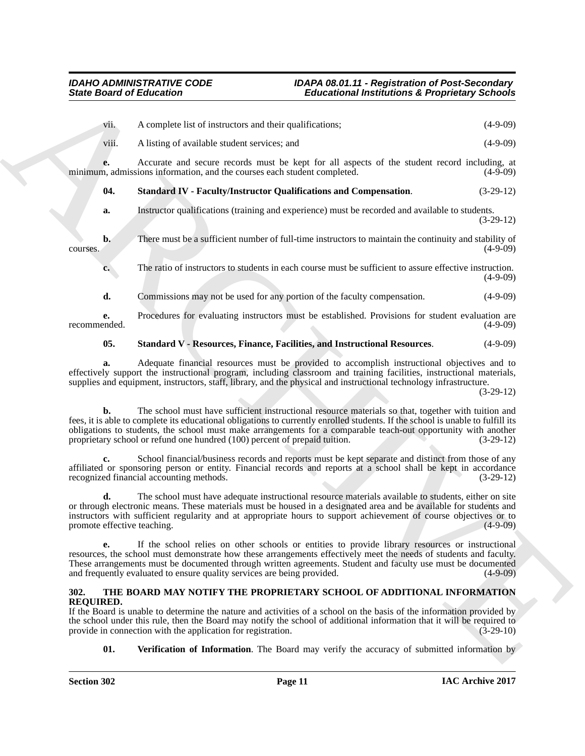<span id="page-10-1"></span>

|                                   | <b>State Board of Education</b><br><b>Educational Institutions &amp; Proprietary Schools</b>                                                                                                                                                                                                                                                                                                                                           |             |
|-----------------------------------|----------------------------------------------------------------------------------------------------------------------------------------------------------------------------------------------------------------------------------------------------------------------------------------------------------------------------------------------------------------------------------------------------------------------------------------|-------------|
| vii.                              | A complete list of instructors and their qualifications;                                                                                                                                                                                                                                                                                                                                                                               | $(4-9-09)$  |
| viii.                             | A listing of available student services; and                                                                                                                                                                                                                                                                                                                                                                                           | $(4-9-09)$  |
| e.                                | Accurate and secure records must be kept for all aspects of the student record including, at<br>minimum, admissions information, and the courses each student completed.                                                                                                                                                                                                                                                               | $(4-9-09)$  |
| 04.                               | <b>Standard IV - Faculty/Instructor Qualifications and Compensation.</b>                                                                                                                                                                                                                                                                                                                                                               | $(3-29-12)$ |
| a.                                | Instructor qualifications (training and experience) must be recorded and available to students.                                                                                                                                                                                                                                                                                                                                        | $(3-29-12)$ |
| $b$ .<br>courses.                 | There must be a sufficient number of full-time instructors to maintain the continuity and stability of                                                                                                                                                                                                                                                                                                                                 | $(4-9-09)$  |
| c.                                | The ratio of instructors to students in each course must be sufficient to assure effective instruction.                                                                                                                                                                                                                                                                                                                                | $(4-9-09)$  |
| d.                                | Commissions may not be used for any portion of the faculty compensation.                                                                                                                                                                                                                                                                                                                                                               | $(4-9-09)$  |
| e.<br>recommended.                | Procedures for evaluating instructors must be established. Provisions for student evaluation are                                                                                                                                                                                                                                                                                                                                       | $(4-9-09)$  |
| 05.                               | <b>Standard V - Resources, Finance, Facilities, and Instructional Resources.</b>                                                                                                                                                                                                                                                                                                                                                       | $(4-9-09)$  |
| a.                                | Adequate financial resources must be provided to accomplish instructional objectives and to<br>effectively support the instructional program, including classroom and training facilities, instructional materials,<br>supplies and equipment, instructors, staff, library, and the physical and instructional technology infrastructure.                                                                                              | $(3-29-12)$ |
| b.                                | The school must have sufficient instructional resource materials so that, together with tuition and<br>fees, it is able to complete its educational obligations to currently enrolled students. If the school is unable to fulfill its<br>obligations to students, the school must make arrangements for a comparable teach-out opportunity with another<br>proprietary school or refund one hundred (100) percent of prepaid tuition. | $(3-29-12)$ |
|                                   | School financial/business records and reports must be kept separate and distinct from those of any<br>affiliated or sponsoring person or entity. Financial records and reports at a school shall be kept in accordance<br>recognized financial accounting methods.                                                                                                                                                                     | $(3-29-12)$ |
| d.<br>promote effective teaching. | The school must have adequate instructional resource materials available to students, either on site<br>or through electronic means. These materials must be housed in a designated area and be available for students and<br>instructors with sufficient regularity and at appropriate hours to support achievement of course objectives or to                                                                                        | $(4-9-09)$  |
| e.                                | If the school relies on other schools or entities to provide library resources or instructional<br>resources, the school must demonstrate how these arrangements effectively meet the needs of students and faculty.<br>These arrangements must be documented through written agreements. Student and faculty use must be documented<br>and frequently evaluated to ensure quality services are being provided.                        | $(4-9-09)$  |
| 302.<br><b>REQUIRED.</b>          | THE BOARD MAY NOTIFY THE PROPRIETARY SCHOOL OF ADDITIONAL INFORMATION<br>If the Board is unable to determine the nature and activities of a school on the basis of the information provided by<br>the school under this rule, then the Board may notify the school of additional information that it will be required to<br>provide in connection with the application for registration.                                               | $(3-29-10)$ |
| 01.                               | <b>Verification of Information</b> . The Board may verify the accuracy of submitted information by                                                                                                                                                                                                                                                                                                                                     |             |

### <span id="page-10-2"></span>**05. Standard V - Resources, Finance, Facilities, and Instructional Resources**. (4-9-09)

### <span id="page-10-4"></span><span id="page-10-3"></span><span id="page-10-0"></span>**302. THE BOARD MAY NOTIFY THE PROPRIETARY SCHOOL OF ADDITIONAL INFORMATION REQUIRED.**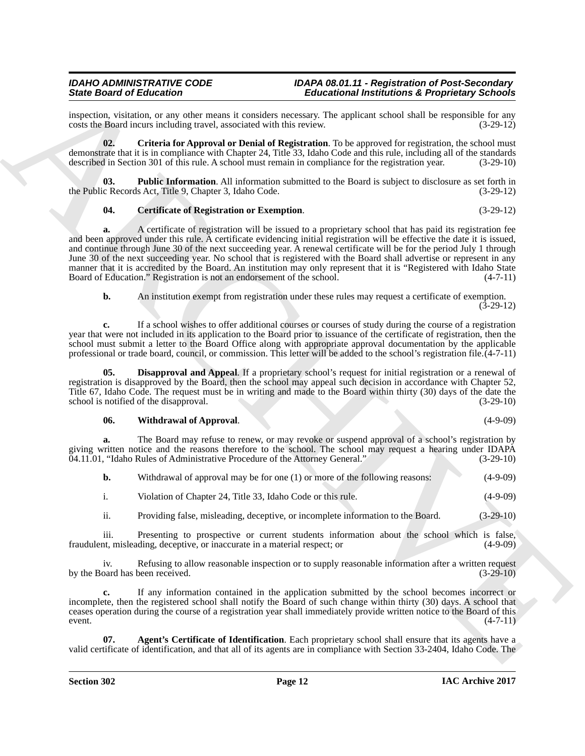inspection, visitation, or any other means it considers necessary. The applicant school shall be responsible for any costs the Board incurs including travel, associated with this review. (3-29-12) costs the Board incurs including travel, associated with this review.

<span id="page-11-2"></span>**02. Criteria for Approval or Denial of Registration**. To be approved for registration, the school must demonstrate that it is in compliance with Chapter 24, Title 33, Idaho Code and this rule, including all of the standards described in Section 301 of this rule. A school must remain in compliance for the registration year. (3-29-10)

**Public Information**. All information submitted to the Board is subject to disclosure as set forth in the Public Records Act, Title 9, Chapter 3, Idaho Code. (3-29-12)

### <span id="page-11-4"></span><span id="page-11-1"></span>**04. Certificate of Registration or Exemption**. (3-29-12)

Since Granter de Entrepreneur Construer de Entrepreneur anti-minister de Entrepreneur anti-minister de Entre de La Construer de La Construer de La Construer de La Construer de La Construer de La Construer de La Construer **a.** A certificate of registration will be issued to a proprietary school that has paid its registration fee and been approved under this rule. A certificate evidencing initial registration will be effective the date it is issued, and continue through June 30 of the next succeeding year. A renewal certificate will be for the period July 1 through June 30 of the next succeeding year. No school that is registered with the Board shall advertise or represent in any manner that it is accredited by the Board. An institution may only represent that it is "Registered with Idaho State<br>Board of Education." Registration is not an endorsement of the school. (4-7-11) Board of Education." Registration is not an endorsement of the school.

**b.** An institution exempt from registration under these rules may request a certificate of exemption.

(3-29-12)

**c.** If a school wishes to offer additional courses or courses of study during the course of a registration year that were not included in its application to the Board prior to issuance of the certificate of registration, then the school must submit a letter to the Board Office along with appropriate approval documentation by the applicable professional or trade board, council, or commission. This letter will be added to the school's registration file.(4-7-11)

**05. Disapproval and Appeal**. If a proprietary school's request for initial registration or a renewal of registration is disapproved by the Board, then the school may appeal such decision in accordance with Chapter 52, Title 67, Idaho Code. The request must be in writing and made to the Board within thirty (30) days of the date the school is notified of the disapproval. (3-29-10) school is notified of the disapproval.

#### <span id="page-11-5"></span><span id="page-11-3"></span>**06. Withdrawal of Approval**. (4-9-09)

**a.** The Board may refuse to renew, or may revoke or suspend approval of a school's registration by giving written notice and the reasons therefore to the school. The school may request a hearing under IDAPA 04.11.01, "Idaho Rules of Administrative Procedure of the Attorney General." (3-29-10)

| Withdrawal of approval may be for one (1) or more of the following reasons: | $(4-9-09)$ |
|-----------------------------------------------------------------------------|------------|
| Violation of Chapter 24, Title 33, Idaho Code or this rule.                 | $(4-9-09)$ |

ii. Providing false, misleading, deceptive, or incomplete information to the Board. (3-29-10)

iii. Presenting to prospective or current students information about the school which is false,<br>nt. misleading. deceptive or inaccurate in a material respect: or (4-9-09) fraudulent, misleading, deceptive, or inaccurate in a material respect; or

iv. Refusing to allow reasonable inspection or to supply reasonable information after a written request by the Board has been received. (3-29-10)

**c.** If any information contained in the application submitted by the school becomes incorrect or incomplete, then the registered school shall notify the Board of such change within thirty (30) days. A school that ceases operation during the course of a registration year shall immediately provide written notice to the Board of this  $(4-7-11)$  (4-7-11)

<span id="page-11-0"></span>**Agent's Certificate of Identification**. Each proprietary school shall ensure that its agents have a valid certificate of identification, and that all of its agents are in compliance with Section 33-2404, Idaho Code. The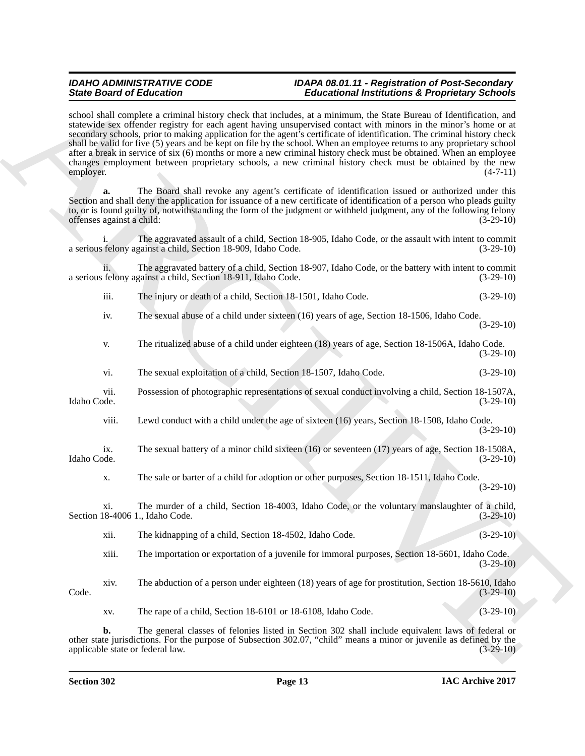Since Granic of Editorial continues and the state of Editorial continues and Propositions 200 minimum of Equations 200 minimum of Equations 200 minimum of Equations 200 minimum of Equations 200 minimum of Equations 200 mi school shall complete a criminal history check that includes, at a minimum, the State Bureau of Identification, and statewide sex offender registry for each agent having unsupervised contact with minors in the minor's home or at secondary schools, prior to making application for the agent's certificate of identification. The criminal history check shall be valid for five (5) years and be kept on file by the school. When an employee returns to any proprietary school after a break in service of six (6) months or more a new criminal history check must be obtained. When an employee changes employment between proprietary schools, a new criminal history check must be obtained by the new employer.  $(4-7-11)$ employer. (4-7-11)

**a.** The Board shall revoke any agent's certificate of identification issued or authorized under this Section and shall deny the application for issuance of a new certificate of identification of a person who pleads guilty to, or is found guilty of, notwithstanding the form of the judgment or withheld judgment, any of the following felony<br>offenses against a child: (3-29-10) offenses against a child: (3-29-10)

The aggravated assault of a child, Section 18-905, Idaho Code, or the assault with intent to commit a serious felony against a child, Section 18-909, Idaho Code. (3-29-10)

ii. The aggravated battery of a child, Section 18-907, Idaho Code, or the battery with intent to commit a serious felony against a child, Section 18-911, Idaho Code.

| $\cdots$ |                                                              |  |             |
|----------|--------------------------------------------------------------|--|-------------|
| 111.     | The injury or death of a child, Section 18-1501, Idaho Code. |  | $(3-29-10)$ |
|          |                                                              |  |             |

iv. The sexual abuse of a child under sixteen (16) years of age, Section 18-1506, Idaho Code.

(3-29-10)

- v. The ritualized abuse of a child under eighteen (18) years of age, Section 18-1506A, Idaho Code. (3-29-10)
- vi. The sexual exploitation of a child, Section 18-1507, Idaho Code. (3-29-10)

vii. Possession of photographic representations of sexual conduct involving a child, Section 18-1507A, Idaho Code. (3-29-10)

- viii. Lewd conduct with a child under the age of sixteen (16) years, Section 18-1508, Idaho Code. (3-29-10)
- ix. The sexual battery of a minor child sixteen (16) or seventeen (17) years of age, Section 18-1508A, Idaho Code. (3-29-10)
	- x. The sale or barter of a child for adoption or other purposes, Section 18-1511, Idaho Code.  $(3-29-10)$

xi. The murder of a child, Section 18-4003, Idaho Code, or the voluntary manslaughter of a child, Section 18-4006 1., Idaho Code. (3-29-10)

xii. The kidnapping of a child, Section 18-4502, Idaho Code. (3-29-10)

xiii. The importation or exportation of a juvenile for immoral purposes, Section 18-5601, Idaho Code.  $(3-29-10)$ 

xiv. The abduction of a person under eighteen (18) years of age for prostitution, Section 18-5610, Idaho  $\text{Code.}$  (3-29-10)

xv. The rape of a child, Section 18-6101 or 18-6108, Idaho Code. (3-29-10)

**b.** The general classes of felonies listed in Section 302 shall include equivalent laws of federal or other state jurisdictions. For the purpose of Subsection 302.07, "child" means a minor or juvenile as defined by the applicable state or federal law.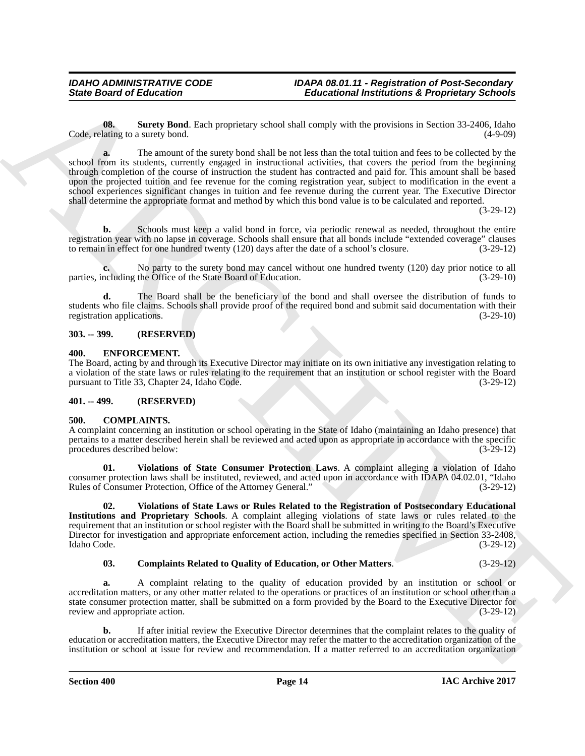<span id="page-13-9"></span>**08.** Surety Bond. Each proprietary school shall comply with the provisions in Section 33-2406, Idaho (4-9-09) lating to a surety bond. Code, relating to a surety bond.

Since Board of Enlocation 1140<br>
(the main point of the position in the point of the point of the point of the point of the point of the point of the point of the point of the point of the point of the point of the point o **a.** The amount of the surety bond shall be not less than the total tuition and fees to be collected by the school from its students, currently engaged in instructional activities, that covers the period from the beginning through completion of the course of instruction the student has contracted and paid for. This amount shall be based upon the projected tuition and fee revenue for the coming registration year, subject to modification in the event a school experiences significant changes in tuition and fee revenue during the current year. The Executive Director shall determine the appropriate format and method by which this bond value is to be calculated and reported.

(3-29-12)

**b.** Schools must keep a valid bond in force, via periodic renewal as needed, throughout the entire registration year with no lapse in coverage. Schools shall ensure that all bonds include "extended coverage" clauses to remain in effect for one hundred twenty (120) days after the date of a school's closure. (3-29-12)

**c.** No party to the surety bond may cancel without one hundred twenty (120) day prior notice to all neulating the Office of the State Board of Education. (3-29-10) parties, including the Office of the State Board of Education.

**d.** The Board shall be the beneficiary of the bond and shall oversee the distribution of funds to students who file claims. Schools shall provide proof of the required bond and submit said documentation with their registration applications. (3-29-10) registration applications.

#### <span id="page-13-0"></span>**303. -- 399. (RESERVED)**

#### <span id="page-13-8"></span><span id="page-13-1"></span>**400. ENFORCEMENT.**

The Board, acting by and through its Executive Director may initiate on its own initiative any investigation relating to a violation of the state laws or rules relating to the requirement that an institution or school register with the Board pursuant to Title 33, Chapter 24, Idaho Code. (3-29-12)

### <span id="page-13-2"></span>**401. -- 499. (RESERVED)**

#### <span id="page-13-4"></span><span id="page-13-3"></span>**500. COMPLAINTS.**

A complaint concerning an institution or school operating in the State of Idaho (maintaining an Idaho presence) that pertains to a matter described herein shall be reviewed and acted upon as appropriate in accordance with the specific procedures described below:

<span id="page-13-6"></span>**01. Violations of State Consumer Protection Laws**. A complaint alleging a violation of Idaho consumer protection laws shall be instituted, reviewed, and acted upon in accordance with IDAPA 04.02.01, "Idaho Rules of Consumer Protection, Office of the Attorney General." (3-29-12) Rules of Consumer Protection, Office of the Attorney General."

<span id="page-13-7"></span>**02. Violations of State Laws or Rules Related to the Registration of Postsecondary Educational Institutions and Proprietary Schools**. A complaint alleging violations of state laws or rules related to the requirement that an institution or school register with the Board shall be submitted in writing to the Board's Executive Director for investigation and appropriate enforcement action, including the remedies specified in Section 33-2408,<br>(3-29-12) Idaho Code. (3-29-12)

### <span id="page-13-5"></span>**03. Complaints Related to Quality of Education, or Other Matters**. (3-29-12)

**a.** A complaint relating to the quality of education provided by an institution or school or accreditation matters, or any other matter related to the operations or practices of an institution or school other than a state consumer protection matter, shall be submitted on a form provided by the Board to the Executive Director for<br>(3-29-12) review and appropriate action.

**b.** If after initial review the Executive Director determines that the complaint relates to the quality of education or accreditation matters, the Executive Director may refer the matter to the accreditation organization of the institution or school at issue for review and recommendation. If a matter referred to an accreditation organization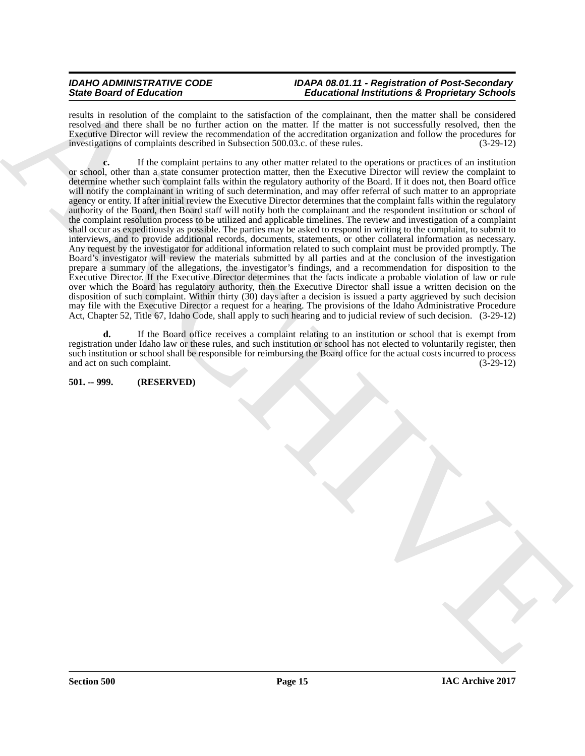results in resolution of the complaint to the satisfaction of the complainant, then the matter shall be considered resolved and there shall be no further action on the matter. If the matter is not successfully resolved, then the Executive Director will review the recommendation of the accreditation organization and follow the procedures for investigations of complaints described in Subsection 500.03.c. of these rules. (3-29-12)

Since the projection of the southern of the statistics of the contention of the statistics of the projection of the statistics of the statistics of the statistics of the statistics of the statistics of the statistics of t **c.** If the complaint pertains to any other matter related to the operations or practices of an institution or school, other than a state consumer protection matter, then the Executive Director will review the complaint to determine whether such complaint falls within the regulatory authority of the Board. If it does not, then Board office will notify the complainant in writing of such determination, and may offer referral of such matter to an appropriate agency or entity. If after initial review the Executive Director determines that the complaint falls within the regulatory authority of the Board, then Board staff will notify both the complainant and the respondent institution or school of the complaint resolution process to be utilized and applicable timelines. The review and investigation of a complaint shall occur as expeditiously as possible. The parties may be asked to respond in writing to the complaint, to submit to interviews, and to provide additional records, documents, statements, or other collateral information as necessary. Any request by the investigator for additional information related to such complaint must be provided promptly. The Board's investigator will review the materials submitted by all parties and at the conclusion of the investigation prepare a summary of the allegations, the investigator's findings, and a recommendation for disposition to the Executive Director. If the Executive Director determines that the facts indicate a probable violation of law or rule over which the Board has regulatory authority, then the Executive Director shall issue a written decision on the disposition of such complaint. Within thirty (30) days after a decision is issued a party aggrieved by such decision may file with the Executive Director a request for a hearing. The provisions of the Idaho Administrative Procedure Act, Chapter 52, Title 67, Idaho Code, shall apply to such hearing and to judicial review of such decision. (3-29-12)

**d.** If the Board office receives a complaint relating to an institution or school that is exempt from registration under Idaho law or these rules, and such institution or school has not elected to voluntarily register, then such institution or school shall be responsible for reimbursing the Board office for the actual costs incurred to process and act on such complaint. (3-29-12) and act on such complaint.

#### <span id="page-14-0"></span>**501. -- 999. (RESERVED)**